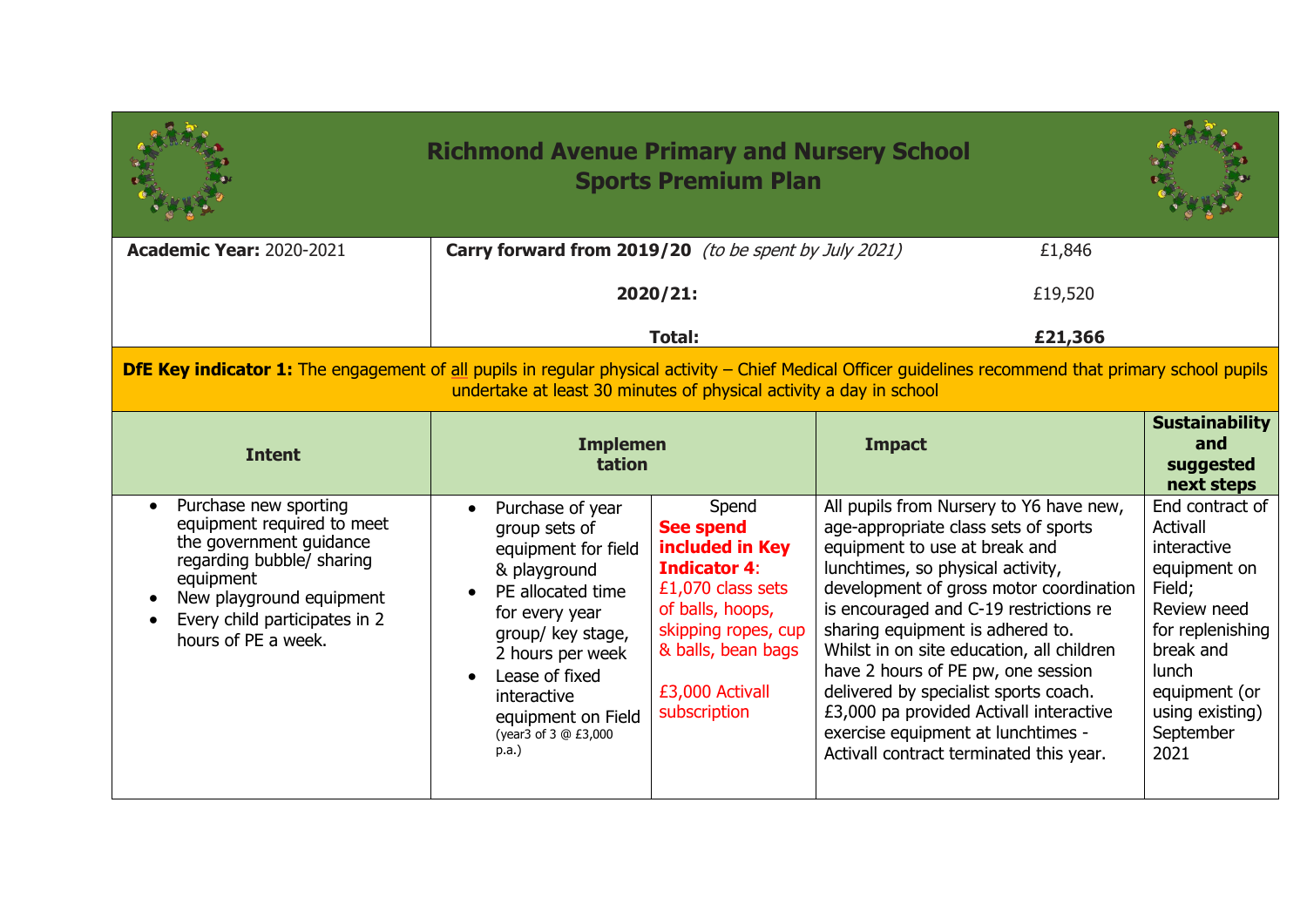|                                                                                                                                                                                                                                     | <b>Richmond Avenue Primary and Nursery School</b><br><b>Sports Premium Plan</b>                                                                                                                                                                     |                                                                                                                                                                                              |                                                                                                                                                                                                                                                                                                                                                                                                                                                                                                                                        |                                                                                                                                                                                               |
|-------------------------------------------------------------------------------------------------------------------------------------------------------------------------------------------------------------------------------------|-----------------------------------------------------------------------------------------------------------------------------------------------------------------------------------------------------------------------------------------------------|----------------------------------------------------------------------------------------------------------------------------------------------------------------------------------------------|----------------------------------------------------------------------------------------------------------------------------------------------------------------------------------------------------------------------------------------------------------------------------------------------------------------------------------------------------------------------------------------------------------------------------------------------------------------------------------------------------------------------------------------|-----------------------------------------------------------------------------------------------------------------------------------------------------------------------------------------------|
| <b>Academic Year: 2020-2021</b>                                                                                                                                                                                                     | Carry forward from 2019/20 (to be spent by July 2021)<br>£1,846                                                                                                                                                                                     |                                                                                                                                                                                              |                                                                                                                                                                                                                                                                                                                                                                                                                                                                                                                                        |                                                                                                                                                                                               |
|                                                                                                                                                                                                                                     | 2020/21:                                                                                                                                                                                                                                            |                                                                                                                                                                                              | £19,520                                                                                                                                                                                                                                                                                                                                                                                                                                                                                                                                |                                                                                                                                                                                               |
|                                                                                                                                                                                                                                     |                                                                                                                                                                                                                                                     | <b>Total:</b>                                                                                                                                                                                | £21,366                                                                                                                                                                                                                                                                                                                                                                                                                                                                                                                                |                                                                                                                                                                                               |
| <b>DfE Key indicator 1:</b> The engagement of all pupils in regular physical activity – Chief Medical Officer guidelines recommend that primary school pupils<br>undertake at least 30 minutes of physical activity a day in school |                                                                                                                                                                                                                                                     |                                                                                                                                                                                              |                                                                                                                                                                                                                                                                                                                                                                                                                                                                                                                                        |                                                                                                                                                                                               |
| <b>Intent</b>                                                                                                                                                                                                                       | <b>Implemen</b><br>tation                                                                                                                                                                                                                           |                                                                                                                                                                                              | <b>Impact</b>                                                                                                                                                                                                                                                                                                                                                                                                                                                                                                                          | <b>Sustainability</b><br>and<br>suggested<br>next steps                                                                                                                                       |
| Purchase new sporting<br>equipment required to meet<br>the government guidance<br>regarding bubble/ sharing<br>equipment<br>New playground equipment<br>Every child participates in 2<br>hours of PE a week.                        | Purchase of year<br>group sets of<br>equipment for field<br>& playground<br>PE allocated time<br>for every year<br>group/ key stage,<br>2 hours per week<br>Lease of fixed<br>interactive<br>equipment on Field<br>(year3 of 3 @ £3,000<br>$p.a.$ ) | Spend<br><b>See spend</b><br>included in Key<br><b>Indicator 4:</b><br>£1,070 class sets<br>of balls, hoops,<br>skipping ropes, cup<br>& balls, bean bags<br>£3,000 Activall<br>subscription | All pupils from Nursery to Y6 have new,<br>age-appropriate class sets of sports<br>equipment to use at break and<br>lunchtimes, so physical activity,<br>development of gross motor coordination<br>is encouraged and C-19 restrictions re<br>sharing equipment is adhered to.<br>Whilst in on site education, all children<br>have 2 hours of PE pw, one session<br>delivered by specialist sports coach.<br>£3,000 pa provided Activall interactive<br>exercise equipment at lunchtimes -<br>Activall contract terminated this year. | End contract of<br>Activall<br>interactive<br>equipment on<br>Field;<br>Review need<br>for replenishing<br>break and<br><b>lunch</b><br>equipment (or<br>using existing)<br>September<br>2021 |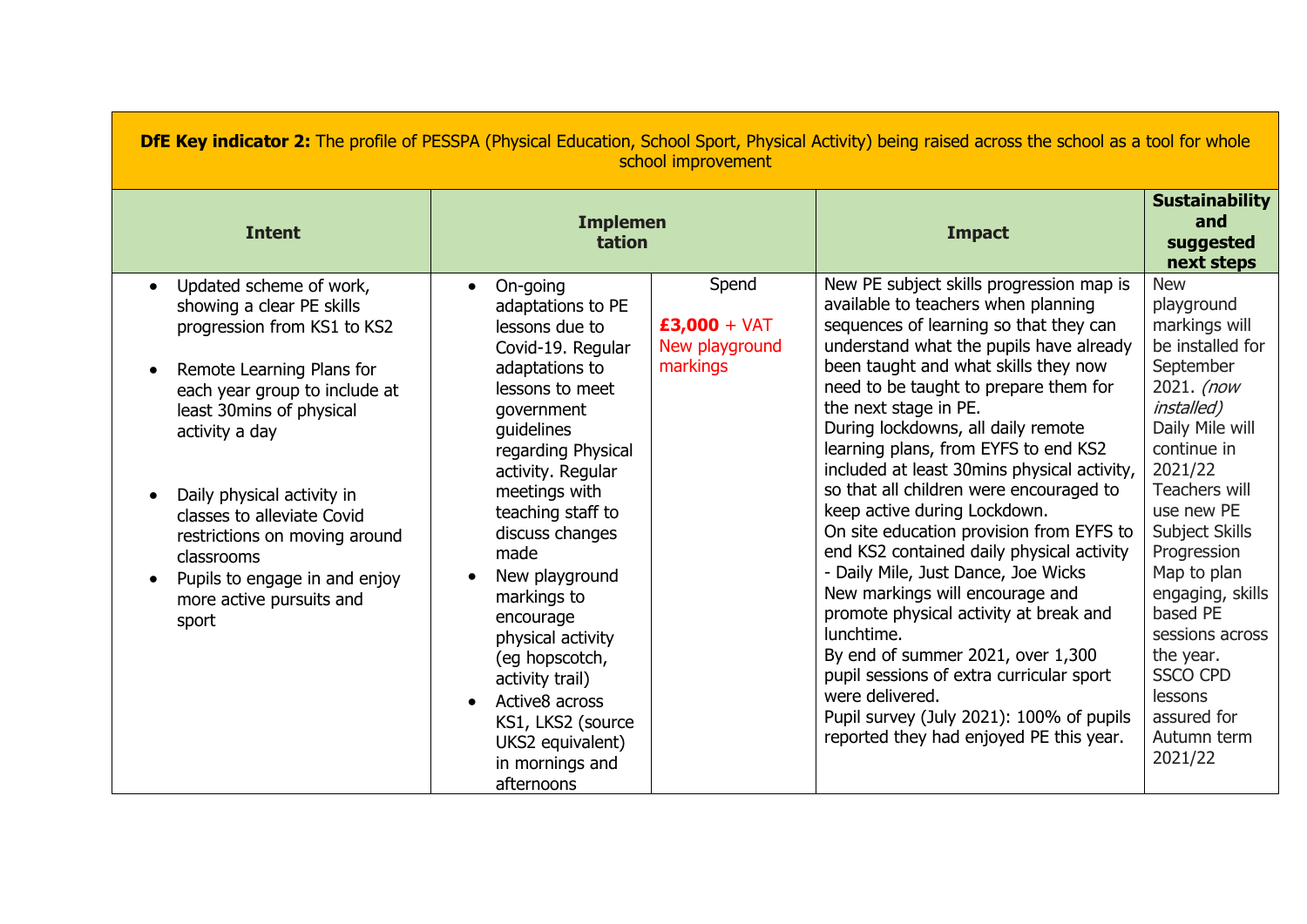| <b>DfE Key indicator 2:</b> The profile of PESSPA (Physical Education, School Sport, Physical Activity) being raised across the school as a tool for whole<br>school improvement                                                                                                                                                                                                 |                                                                                                                                                                                                                                                                                                                                                                                                                                                                    |                                                       |                                                                                                                                                                                                                                                                                                                                                                                                                                                                                                                                                                                                                                                                                                                                                                                                                                                                                                              |                                                                                                                                                                                                                                                                                                                                                                                   |  |
|----------------------------------------------------------------------------------------------------------------------------------------------------------------------------------------------------------------------------------------------------------------------------------------------------------------------------------------------------------------------------------|--------------------------------------------------------------------------------------------------------------------------------------------------------------------------------------------------------------------------------------------------------------------------------------------------------------------------------------------------------------------------------------------------------------------------------------------------------------------|-------------------------------------------------------|--------------------------------------------------------------------------------------------------------------------------------------------------------------------------------------------------------------------------------------------------------------------------------------------------------------------------------------------------------------------------------------------------------------------------------------------------------------------------------------------------------------------------------------------------------------------------------------------------------------------------------------------------------------------------------------------------------------------------------------------------------------------------------------------------------------------------------------------------------------------------------------------------------------|-----------------------------------------------------------------------------------------------------------------------------------------------------------------------------------------------------------------------------------------------------------------------------------------------------------------------------------------------------------------------------------|--|
| <b>Intent</b>                                                                                                                                                                                                                                                                                                                                                                    | <b>Implemen</b><br>tation                                                                                                                                                                                                                                                                                                                                                                                                                                          |                                                       | <b>Impact</b>                                                                                                                                                                                                                                                                                                                                                                                                                                                                                                                                                                                                                                                                                                                                                                                                                                                                                                | <b>Sustainability</b><br>and<br>suggested<br>next steps                                                                                                                                                                                                                                                                                                                           |  |
| Updated scheme of work,<br>showing a clear PE skills<br>progression from KS1 to KS2<br>Remote Learning Plans for<br>each year group to include at<br>least 30mins of physical<br>activity a day<br>Daily physical activity in<br>classes to alleviate Covid<br>restrictions on moving around<br>classrooms<br>Pupils to engage in and enjoy<br>more active pursuits and<br>sport | On-going<br>$\bullet$<br>adaptations to PE<br>lessons due to<br>Covid-19. Regular<br>adaptations to<br>lessons to meet<br>government<br>quidelines<br>regarding Physical<br>activity. Regular<br>meetings with<br>teaching staff to<br>discuss changes<br>made<br>New playground<br>markings to<br>encourage<br>physical activity<br>(eg hopscotch,<br>activity trail)<br>Active8 across<br>KS1, LKS2 (source<br>UKS2 equivalent)<br>in mornings and<br>afternoons | Spend<br>$£3,000 + VAT$<br>New playground<br>markings | New PE subject skills progression map is<br>available to teachers when planning<br>sequences of learning so that they can<br>understand what the pupils have already<br>been taught and what skills they now<br>need to be taught to prepare them for<br>the next stage in PE.<br>During lockdowns, all daily remote<br>learning plans, from EYFS to end KS2<br>included at least 30mins physical activity,<br>so that all children were encouraged to<br>keep active during Lockdown.<br>On site education provision from EYFS to<br>end KS2 contained daily physical activity<br>- Daily Mile, Just Dance, Joe Wicks<br>New markings will encourage and<br>promote physical activity at break and<br>lunchtime.<br>By end of summer 2021, over 1,300<br>pupil sessions of extra curricular sport<br>were delivered.<br>Pupil survey (July 2021): 100% of pupils<br>reported they had enjoyed PE this year. | <b>New</b><br>playground<br>markings will<br>be installed for<br>September<br>2021. (now<br><i>installed</i> )<br>Daily Mile will<br>continue in<br>2021/22<br>Teachers will<br>use new PE<br>Subject Skills<br>Progression<br>Map to plan<br>engaging, skills<br>based PE<br>sessions across<br>the year.<br><b>SSCO CPD</b><br>lessons<br>assured for<br>Autumn term<br>2021/22 |  |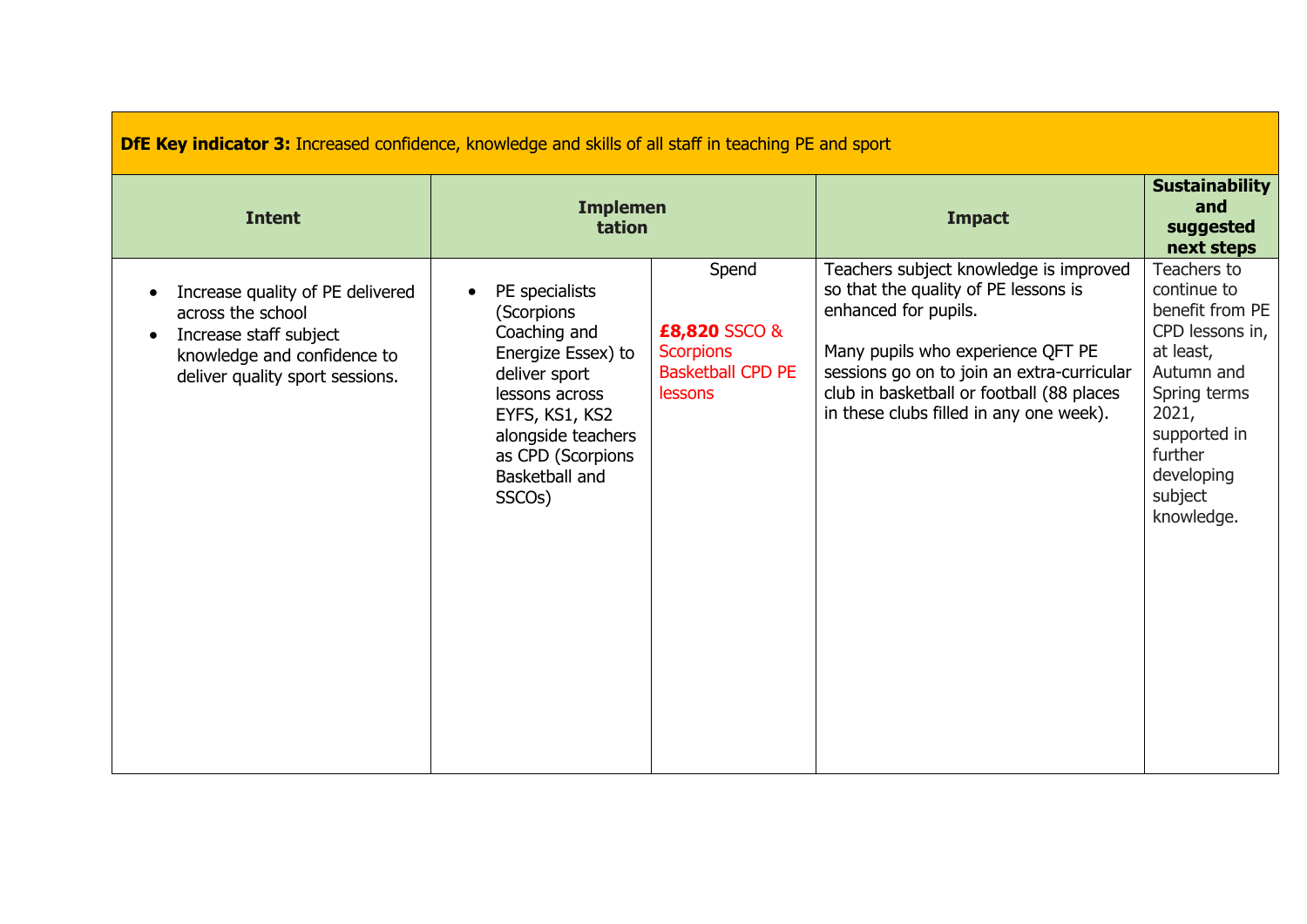| <b>DfE Key indicator 3:</b> Increased confidence, knowledge and skills of all staff in teaching PE and sport                                                                |                                                                                                                                                                                                             |                                                                                   |                                                                                                                                                                                                                                                                                   |                                                                                                                                                                                        |  |
|-----------------------------------------------------------------------------------------------------------------------------------------------------------------------------|-------------------------------------------------------------------------------------------------------------------------------------------------------------------------------------------------------------|-----------------------------------------------------------------------------------|-----------------------------------------------------------------------------------------------------------------------------------------------------------------------------------------------------------------------------------------------------------------------------------|----------------------------------------------------------------------------------------------------------------------------------------------------------------------------------------|--|
| <b>Intent</b>                                                                                                                                                               | <b>Implemen</b><br>tation                                                                                                                                                                                   |                                                                                   | <b>Impact</b>                                                                                                                                                                                                                                                                     | <b>Sustainability</b><br>and<br>suggested<br>next steps                                                                                                                                |  |
| Increase quality of PE delivered<br>$\bullet$<br>across the school<br>Increase staff subject<br>$\bullet$<br>knowledge and confidence to<br>deliver quality sport sessions. | PE specialists<br>(Scorpions<br>Coaching and<br>Energize Essex) to<br>deliver sport<br>lessons across<br>EYFS, KS1, KS2<br>alongside teachers<br>as CPD (Scorpions<br>Basketball and<br>SSCO <sub>s</sub> ) | Spend<br>£8,820 SSCO &<br><b>Scorpions</b><br><b>Basketball CPD PE</b><br>lessons | Teachers subject knowledge is improved<br>so that the quality of PE lessons is<br>enhanced for pupils.<br>Many pupils who experience QFT PE<br>sessions go on to join an extra-curricular<br>club in basketball or football (88 places<br>in these clubs filled in any one week). | Teachers to<br>continue to<br>benefit from PE<br>CPD lessons in,<br>at least,<br>Autumn and<br>Spring terms<br>2021,<br>supported in<br>further<br>developing<br>subject<br>knowledge. |  |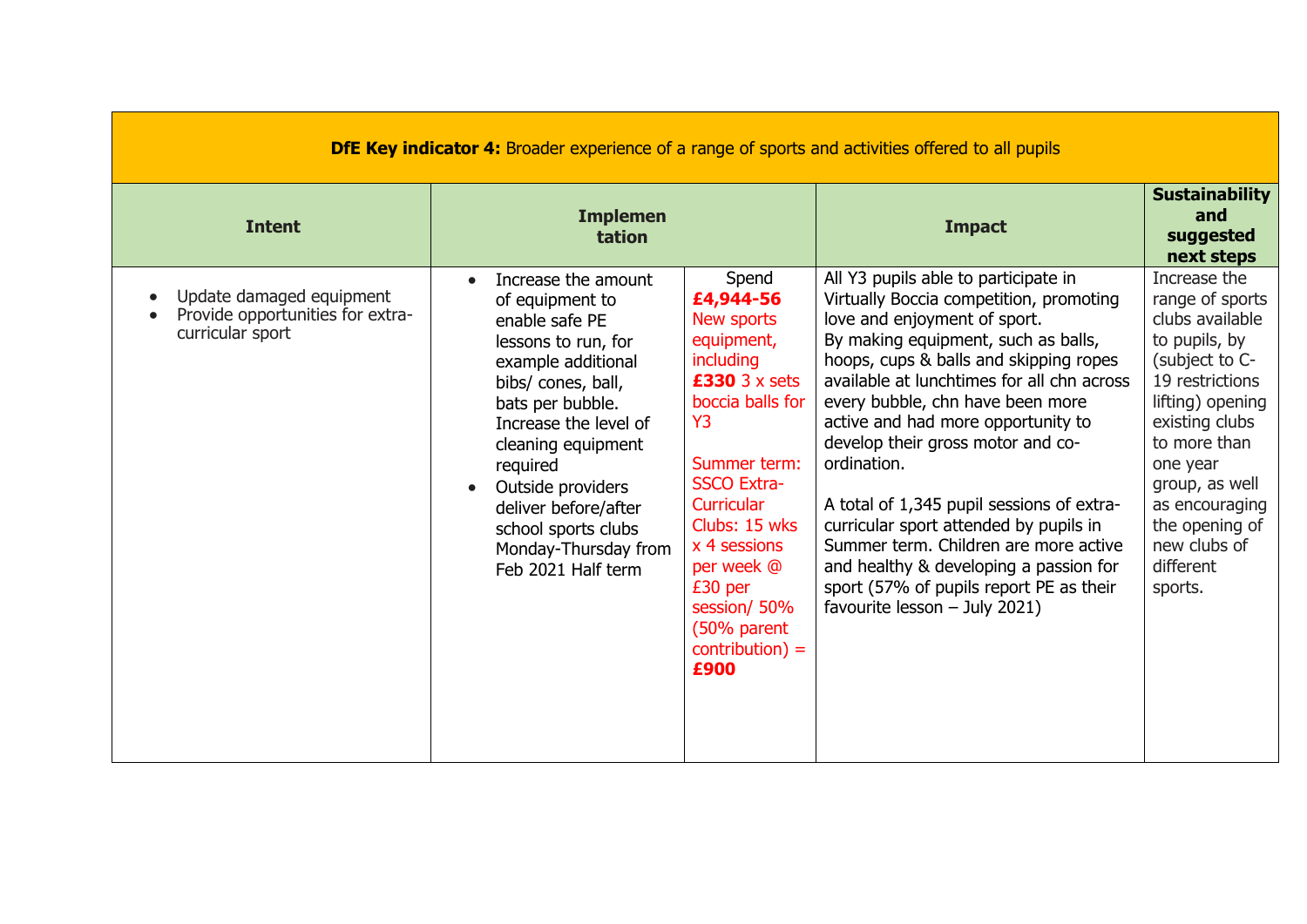| <b>DfE Key indicator 4:</b> Broader experience of a range of sports and activities offered to all pupils |                                                                                                                                                                                                                                                                                                                              |                                                                                                                                                                                                                                                                                                     |                                                                                                                                                                                                                                                                                                                                                                                                                                                                                                                                                                                                                                    |                                                                                                                                                                                                                                                                          |  |
|----------------------------------------------------------------------------------------------------------|------------------------------------------------------------------------------------------------------------------------------------------------------------------------------------------------------------------------------------------------------------------------------------------------------------------------------|-----------------------------------------------------------------------------------------------------------------------------------------------------------------------------------------------------------------------------------------------------------------------------------------------------|------------------------------------------------------------------------------------------------------------------------------------------------------------------------------------------------------------------------------------------------------------------------------------------------------------------------------------------------------------------------------------------------------------------------------------------------------------------------------------------------------------------------------------------------------------------------------------------------------------------------------------|--------------------------------------------------------------------------------------------------------------------------------------------------------------------------------------------------------------------------------------------------------------------------|--|
| <b>Intent</b>                                                                                            | <b>Implemen</b><br>tation                                                                                                                                                                                                                                                                                                    |                                                                                                                                                                                                                                                                                                     | <b>Impact</b>                                                                                                                                                                                                                                                                                                                                                                                                                                                                                                                                                                                                                      | <b>Sustainability</b><br>and<br>suggested<br>next steps                                                                                                                                                                                                                  |  |
| Update damaged equipment<br>Provide opportunities for extra-<br>curricular sport                         | Increase the amount<br>of equipment to<br>enable safe PE<br>lessons to run, for<br>example additional<br>bibs/ cones, ball,<br>bats per bubble.<br>Increase the level of<br>cleaning equipment<br>required<br>Outside providers<br>deliver before/after<br>school sports clubs<br>Monday-Thursday from<br>Feb 2021 Half term | Spend<br>£4,944-56<br>New sports<br>equipment,<br>including<br>$£330$ 3 x sets<br>boccia balls for<br>Y <sub>3</sub><br>Summer term:<br><b>SSCO Extra-</b><br><b>Curricular</b><br>Clubs: 15 wks<br>x 4 sessions<br>per week @<br>£30 per<br>session/50%<br>(50% parent<br>$contribution$ =<br>£900 | All Y3 pupils able to participate in<br>Virtually Boccia competition, promoting<br>love and enjoyment of sport.<br>By making equipment, such as balls,<br>hoops, cups & balls and skipping ropes<br>available at lunchtimes for all chn across<br>every bubble, chn have been more<br>active and had more opportunity to<br>develop their gross motor and co-<br>ordination.<br>A total of 1,345 pupil sessions of extra-<br>curricular sport attended by pupils in<br>Summer term. Children are more active<br>and healthy & developing a passion for<br>sport (57% of pupils report PE as their<br>favourite lesson - July 2021) | Increase the<br>range of sports<br>clubs available<br>to pupils, by<br>(subject to C-<br>19 restrictions<br>lifting) opening<br>existing clubs<br>to more than<br>one year<br>group, as well<br>as encouraging<br>the opening of<br>new clubs of<br>different<br>sports. |  |